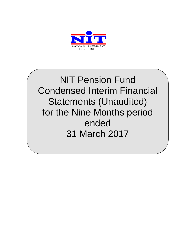

NIT Pension Fund Condensed Interim Financial Statements (Unaudited) for the Nine Months period ended 31 March 2017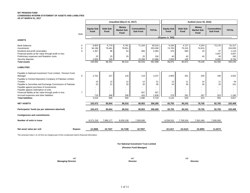## **NIT PENSION FUND CONDENSED INTERIM STATEMENT OF ASSETS AND LIABILITIES AS AT MARCH 31, 2017**

*Note*  **Equity Sub Fund Debt Sub Fund Money Market Sub Fund Commodities Sub Fund TOTAL Equity Sub Fund Debt Sub Fund Money Market Sub Fund Commodities Sub Fund TOTAL ASSETS** Bank balances 5 8,803 6,770 6,781 71,164 93,518 9,160 4,727 4,254 73,176 91,317 Investments 6 | 94,196 || 79,461 || 7 || - || 253,308 | 74,705 || 74,915 || - || 224,935 Dividend and profit receivables 6 1,116 1,116 1,116 56 | 54 | 566 | 2,083 | 370 560 | 370 19 | 37 | 1,116 Financial assets at fair value through profit or loss  $\begin{vmatrix} -1 & 0 & 0 \\ 0 & 0 & 0 \\ 0 & 0 & 0 \end{vmatrix}$  -  $\begin{vmatrix} 1 & 0 & 0 \\ 0 & 0 & 0 \\ 0 & 0 & 0 \end{vmatrix}$  -  $\begin{vmatrix} 1 & 0 & 0 \\ 0 & 0 & 0 \\ 0 & 0 & 0 \end{vmatrix}$  -  $\begin{vmatrix} 1 & 0 & 0 \\ 0 & 0 & 0 \\ 0 & 0 & 0 \end{vmatrix$ Preliminary expenses and floatation costs 25 25 25 25 100 40 40 40 40 160 Security deposits 2,600 100 - 10,288 12,988 2,600 100 - 6,000 8,700 **Total assets** 106,992 86,452 86,510 82,043 361,998 86,875 80,872 79,228 83,260 330,235 **LIABILITIES** 9 | 2,761 || 227 || 129 || 119 || 3,237 || 2,805 || 301 || 200 || 196 || 3,502 15 || 12 || 12 || 12 || 12 || 13 || 12 || 13 || 14 || 14 || 15 || 15 || 15 Payable to Securities and Exchange Commission of Pakistan 20 23 21 21 20 20 20 20 20 20 26 26 26 26 25 26 26 26 Payable against purchase of investments - - - - - - - - - - Payable against redemption of units - - - - - - - - - - Financial liability at fair value through profit or loss  $\begin{array}{ccc} 7 & - & \end{array}$   $\begin{array}{ccc} 7 & - & \end{array}$   $\begin{array} 1 & - & \end{array}$   $\begin{array} 1 & - & \end{array}$   $\begin{array} 1 & - & \end{array}$  507  $\begin{array} 1 & - & \end{array}$ Accrued expenses and other liabilities 719 348 338 433 1,838 279 291 287 323 1,180 **Total liabilities** 3,519 608 500 1,090 5,718 3,120 629 523 555 4,827 **NET ASSETS 103,473 85,844 86,010 80,953 356,280 83,755 80,243 78,705 82,705 325,408 Participants' funds (as per statement attached) 103,473 85,844 86,010 80,953 356,280 83,755 80,243 78,705 82,705 325,408 Contigencies and commitments Number of units in issue** 8,371,218 7,990,177 8,030,158 7,500,000 8,258,515 7,706,534 7,561,040 7,500,000 Net asset value per unit **Rupees** 12.3606 10.7437 10.7108 10.7937 10.7110 10.1417 10.4123 10.4093 11.0273 **Unaudited (March 31, 2017) ---------------------------------------------------------------------------------------------(Rupees in '000)--------------------------------------------------------------------------------** Payable to National Investment Trust Limited - Pension Fund Manager Payable to Central Depository Company of Pakistan Limited - Trustee **Audited (June 30, 2016)**

The annexed notes 1 to 16 form an integral part of this condensed interim financial information.

 **For National Investment Trust Limited**

 **(Pension Fund Manager)**

sd/- sd/- sd/-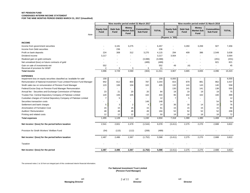# **NIT PENSION FUND CONDENSED INTERIM INCOME STATEMENT**

**FOR THE NINE MONTHS PERIOD ENDED MARCH 31, 2017 (Unaudited)**

|                                                                         | Nine months period ended 31 March 2017 |                         |                                           |                                       | Nine months period ended 31 March 2016 |                           |                                |                                           |                                       |              |
|-------------------------------------------------------------------------|----------------------------------------|-------------------------|-------------------------------------------|---------------------------------------|----------------------------------------|---------------------------|--------------------------------|-------------------------------------------|---------------------------------------|--------------|
| Note                                                                    | <b>Equity Sub</b><br><b>Fund</b>       | <b>Debt Sub</b><br>Fund | <b>Money</b><br><b>Market Sub</b><br>Fund | <b>Commodities</b><br><b>Sub Fund</b> | <b>TOTAL</b>                           | <b>Equity Sub</b><br>Fund | <b>Debt Sub</b><br><b>Fund</b> | <b>Money</b><br><b>Market Sub</b><br>Fund | <b>Commodities</b><br><b>Sub Fund</b> | <b>TOTAL</b> |
|                                                                         |                                        |                         |                                           |                                       |                                        | -(Rupees in '000)         |                                |                                           |                                       |              |
| <b>INCOME</b>                                                           |                                        |                         |                                           |                                       |                                        |                           |                                |                                           |                                       |              |
| Income from government securities                                       |                                        | 3,181                   | 3,275                                     |                                       | 6,457                                  |                           | 3,260                          | 3,269                                     | 927                                   | 7,456        |
| Income from Debt securities                                             |                                        | 236                     |                                           |                                       | 236                                    |                           |                                |                                           |                                       |              |
| Profit on bank deposits                                                 | 224                                    | 308                     | 312                                       | 3,270                                 | 4,115                                  | 294                       | 409                            | 386                                       | 2,549                                 | 3,638        |
| Dividend income                                                         | 3,217                                  |                         |                                           | $\sim$                                | 3,217                                  | 3,564                     |                                |                                           | $\sim$                                | 3,564        |
| Realized gain on gold contracts                                         |                                        |                         |                                           | (3,088)                               | (3,088)                                | $\blacksquare$            |                                |                                           | (201)                                 | (201)        |
| Net unrealized (loss) on future contracts of gold                       |                                        |                         |                                           | (489)                                 | (489)                                  |                           |                                |                                           | 821                                   | 821          |
| Gain on sale of investments-net                                         | 552                                    |                         |                                           |                                       | 552                                    | 49                        | (4)                            |                                           | $\overline{\phantom{a}}$              | 45           |
| Reversal of provision for WWF                                           | $\overline{2}$                         | 3                       | 3                                         | 3                                     | 11                                     |                           |                                |                                           |                                       |              |
| <b>Total income</b>                                                     | 3,996                                  | 3,729                   | 3,590                                     | (304)                                 | 11,011                                 | 3,907                     | 3,665                          | 3,655                                     | 4,096                                 | 15,323       |
| <b>EXPENSES</b>                                                         |                                        |                         |                                           |                                       |                                        |                           |                                |                                           |                                       |              |
| Impairment loss on equity securities classified as 'available for sale' | 159                                    |                         | $\overline{\phantom{a}}$                  | $\overline{\phantom{a}}$              | 159                                    | 6,000                     |                                |                                           | $\sim$                                | 6,000        |
| Remuneration of National Investment Trust Limited-Pension Fund Manager  | 942                                    | 812                     | 803                                       | 787                                   | 3,344                                  | 815                       | 879                            | 881                                       | 862                                   | 3,437        |
| Sindh sales tax on remuneration of Pension Fund Manager                 | 123                                    | 106                     | 104                                       | 102                                   | 435                                    | 132                       | 143                            | 143                                       | 140                                   | 558          |
| Federal Excise Duty on Pension Fund Manager Remuneration                |                                        |                         |                                           |                                       |                                        | 130                       | 141                            | 141                                       | 138                                   | 550          |
| Annual fee - Securities and Exchange Commission of Pakistan             | 23                                     | 21                      | 20                                        | 20                                    | 84                                     | 18                        | 19                             | 19                                        | 19                                    | 75           |
| Trustee Fee- Central Depository Company of Pakistan Limited             | 120                                    | 106                     | 105                                       | 102                                   | 433                                    | 95                        | 102                            | 102                                       | 100                                   | 399          |
| Custodian charges of Central Depository Company of Pakistan Limited     | $\overline{7}$                         | 5                       |                                           |                                       | 12                                     | $\overline{7}$            | 5                              |                                           |                                       | 12           |
| Securities transaction costs                                            |                                        |                         |                                           | 148                                   | 148                                    |                           |                                |                                           | 54                                    | 54           |
| Settlement and bank charges                                             | 5                                      | 3                       | $\overline{2}$                            | 4                                     | 14                                     | 36                        | 16                             | 14                                        | 10                                    | 76           |
| Amortization of Formation Cost                                          | 15                                     | 15                      | 15                                        | 15                                    | 61                                     | 15                        | 15                             | 15                                        | 15                                    | 60           |
| Auditors' Remuneration                                                  | 48                                     | 48                      | 48                                        | 49                                    | 194                                    | 52                        | 52                             | 52                                        | 52                                    | 208          |
| Printing and related costs                                              | 12                                     | 12                      | 12                                        | 12                                    | 50                                     | 18                        | 18                             | 18                                        | 18                                    | 72           |
| <b>Total expenses</b>                                                   | 1,455                                  | 1,128                   | 1,111                                     | 1,240                                 | 4,934                                  | 7,318                     | 1,390                          | 1,385                                     | 1,408                                 | 11,501       |
| Net income / (loss) for the period before taxation                      | 2,541                                  | 2,601                   | 2,479                                     | (1, 544)                              | 6,078                                  | (3, 411)                  | 2,275                          | 2,270                                     | 2,688                                 | 3,822        |
| Provision for Sindh Workers' Welfare Fund                               | (54)                                   | (115)                   | (112)                                     | (208)                                 | (489)                                  |                           |                                |                                           |                                       |              |
| Net income / (loss) for the period before taxation                      | 2,487                                  | 2,486                   | 2,367                                     | (1,752)                               | 5,588                                  | (3, 411)                  | 2,275                          | 2,270                                     | 2,688                                 | 3,822        |
| Taxation                                                                |                                        |                         |                                           |                                       |                                        |                           |                                |                                           |                                       |              |
| Net income / (loss) for the period                                      | 2,487                                  | 2,486                   | 2,367                                     | (1,752)                               | 5,588                                  | (3, 411)                  | 2,275                          | 2,270                                     | 2,688                                 | 3,822        |
|                                                                         |                                        |                         |                                           |                                       |                                        |                           |                                |                                           |                                       |              |

The annexed notes 1 to 16 form an integral part of this condensed interim financial information.

 **For National Investment Trust Limited (Pension Fund Manager)**

2 of 11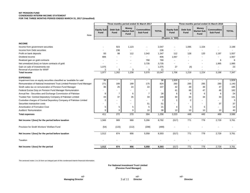## **NIT PENSION FUND CONDENSED INTERIM INCOME STATEMENT FOR THE THREE MONTHS PERIOD ENDED MARCH 31, 2017 (Unaudited)**

|                                                                         | Three months period ended 31 March 2017 |                          |                                                  |                                       |                |                           | Three months period ended 31 March 2016 |                                           |                                       |              |  |
|-------------------------------------------------------------------------|-----------------------------------------|--------------------------|--------------------------------------------------|---------------------------------------|----------------|---------------------------|-----------------------------------------|-------------------------------------------|---------------------------------------|--------------|--|
| Note                                                                    | <b>Equity Sub</b><br>Fund               | <b>Debt Sub</b><br>Fund  | <b>Money</b><br><b>Market Sub</b><br><b>Fund</b> | <b>Commodities</b><br><b>Sub Fund</b> | <b>TOTAL</b>   | <b>Equity Sub</b><br>Fund | Debt Sub<br><b>Fund</b>                 | <b>Money</b><br><b>Market Sub</b><br>Fund | <b>Commodities</b><br><b>Sub Fund</b> | <b>TOTAL</b> |  |
|                                                                         |                                         |                          |                                                  |                                       |                | (Rupees in '000)-         |                                         |                                           |                                       |              |  |
| <b>INCOME</b>                                                           |                                         |                          |                                                  |                                       |                |                           |                                         |                                           |                                       |              |  |
| Income from government securities                                       |                                         | 923                      | 1,123                                            |                                       | 2,047          |                           | 1,095                                   | 1,104                                     |                                       | 2,199        |  |
| Income from Debt securities                                             |                                         | 236                      |                                                  |                                       | 236            |                           |                                         |                                           |                                       |              |  |
| Profit on bank deposits                                                 | 93                                      | 99                       | 112                                              | 1,042                                 | 1,347          | 112                       | 128                                     | 120                                       | 1,197                                 | 1,557        |  |
| Dividend income                                                         | 806                                     |                          |                                                  |                                       | 806            | 1,567                     |                                         |                                           |                                       | 1,567        |  |
| Realized gain on gold contracts                                         |                                         |                          |                                                  | 790                                   | 790            |                           |                                         |                                           | 6                                     | 6            |  |
| Net unrealized (loss) on future contracts of gold                       |                                         |                          |                                                  | 3,735                                 | 3,735          |                           |                                         |                                           | 1,995                                 | 1,995        |  |
| Gain on sale of investments-net                                         | 1,075                                   |                          |                                                  |                                       | 1,075          | 27                        | (4)                                     |                                           |                                       | 23           |  |
| Reversal of provision for WWF                                           | 2                                       | 3                        | 3                                                | 3                                     | 11             |                           |                                         |                                           |                                       |              |  |
| <b>Total income</b>                                                     | 1,977                                   | 1,262                    | 1,238                                            | 5,570                                 | 10,047         | 1,706                     | 1,219                                   | 1,224                                     | 3,198                                 | 7,347        |  |
| <b>EXPENSES</b>                                                         |                                         |                          |                                                  |                                       |                |                           |                                         |                                           |                                       |              |  |
| Impairment loss on equity securities classified as 'available for sale' | 36                                      |                          |                                                  | $\blacksquare$                        | 36             | 1,829                     |                                         |                                           |                                       | 1,829        |  |
| Remuneration of National Investment Trust Limited-Pension Fund Manager  | 271                                     | 189                      | 189                                              | 175                                   | 824            | 260                       | 295                                     | 295                                       | 290                                   | 1,140        |  |
| Sindh sales tax on remuneration of Pension Fund Manager                 | 36                                      | 25                       | 24                                               | 22                                    | 107            | 42                        | 48                                      | 48                                        | 47                                    | 185          |  |
| Federal Excise Duty on Pension Fund Manager Remuneration                |                                         |                          |                                                  |                                       |                | 41                        | 48                                      | 47                                        | 46                                    | 182          |  |
| Annual fee - Securities and Exchange Commission of Pakistan             | 8                                       | $\overline{7}$           | 6                                                | $\overline{7}$                        | 28             | 6                         | 6                                       | 6                                         | 6                                     | 24           |  |
| Trustee Fee- Central Depository Company of Pakistan Limited             | 43                                      | 37                       | 35                                               | 33                                    | 148            | 30                        | 34                                      | 34                                        | 33                                    | 131          |  |
| Custodian charges of Central Depository Company of Pakistan Limited     | $\overline{2}$                          |                          |                                                  |                                       | $\overline{2}$ |                           | $\overline{2}$                          |                                           |                                       | 3            |  |
| Securities transaction costs                                            |                                         | $\overline{\phantom{a}}$ |                                                  | 51                                    | 51             |                           |                                         |                                           | 37                                    | 37           |  |
| Amortization of Formation Cost                                          | 5                                       | 5                        | 5                                                | 5                                     | 21             | 4                         | 5                                       | 5                                         |                                       | 14           |  |
| Auditors' Remuneration                                                  | 9                                       | 9                        | 9                                                | 10                                    | 38             | 10                        | 10                                      | 10                                        | 10                                    | 40           |  |
| <b>Total expenses</b>                                                   | 411                                     | 272                      | 270                                              | 304                                   | 1,256          | 2,223                     | 448                                     | 445                                       | 469                                   | 3,586        |  |
| Net income / (loss) for the period before taxation                      | 1,566                                   | 989                      | 968                                              | 5,266                                 | 8,792          | (517)                     | 771                                     | 779                                       | 2,729                                 | 3,761        |  |
| Provision for Sindh Workers' Welfare Fund                               | (54)                                    | (115)                    | (112)                                            | (208)                                 | (489)          |                           |                                         |                                           |                                       |              |  |
| Net income / (loss) for the period before taxation                      | 1,512                                   | 874                      | 856                                              | 5,058                                 | 8,303          | (517)                     | 771                                     | 779                                       | 2,729                                 | 3,761        |  |

The annexed notes 1 to 16 form an integral part of this condensed interim financial information.

# **(Pension Fund Manager) For National Investment Trust Limited**

Taxation - - - - - - - - **Net income / (loss) for the period 1,512 874 856 5,058 8,303** (517) 771 779 2,729 3,761

3 of 11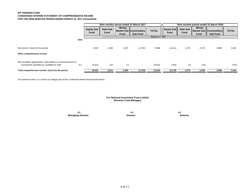# **NIT PENSION FUND CONDENSED INTERIM STATEMENT OF COMPREHENSIVE INCOME FOR THE NINE MONTHS PERIOD ENDED MARCH 31, 2017 (Unaudited)**

|                                                                                                                  |             | Nine months period ended 31 March 2017 |                  |               |                                           | Nine months period ended 31 March 2016 |                                  |                         |               |                                             |              |
|------------------------------------------------------------------------------------------------------------------|-------------|----------------------------------------|------------------|---------------|-------------------------------------------|----------------------------------------|----------------------------------|-------------------------|---------------|---------------------------------------------|--------------|
|                                                                                                                  |             | <b>Equity Sub</b><br>Fund              | Debt Sub<br>Fund | Money<br>Fund | Market Sub Commodities<br><b>Sub Fund</b> | <b>TOTAL</b>                           | <b>Equity Sub</b><br><b>Fund</b> | Debt Sub<br><b>Fund</b> | Money<br>Fund | Market Sub   Commodities<br><b>Sub Fund</b> | <b>TOTAL</b> |
|                                                                                                                  |             |                                        |                  |               |                                           | --Rupees in '000-----                  |                                  |                         |               |                                             |              |
| Net income / (loss) for the period                                                                               | <b>Note</b> | 2,487                                  | 2,486            | 2,367         | (1,752)                                   | 5,588                                  | (3, 411)                         | 2,275                   | 2,270         | 2,688                                       | 3,822        |
| Other comprehensive income                                                                                       |             |                                        |                  |               |                                           |                                        |                                  |                         |               |                                             |              |
| Net unrealised appreciation / (dimunition) on remeasurement of<br>investments classified as 'available for sale' | 6.3         | 15,914                                 | 125              | (7)           | $\overline{\phantom{a}}$                  | 16,032                                 | (764)                            | (2)                     | (15)          | $\overline{\phantom{a}}$                    | (781)        |
| Total comprehensive income / (loss) for the period                                                               |             | 18,401                                 | 2,611            | 2,360         | (1,752)                                   | 21,619                                 | (4, 175)                         | 2,273                   | 2,255         | 2,688                                       | 3,041        |

The annexed notes 1 to 16 form an integral part of this condensed interim financial information.

# **For National Investment Trust Limited (Pension Fund Manager)**

sd/- sd/- sd/-  **Managing Director Director Director**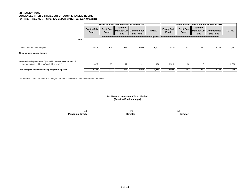# **NIT PENSION FUND CONDENSED INTERIM STATEMENT OF COMPREHENSIVE INCOME FOR THE THREE MONTHS PERIOD ENDED MARCH 31, 2017 (Unaudited)**

|                                                                                                                  | Three months period ended 31 March 2017 |                         |                      |                                             | Three months period ended 31 March 2016 |                           |                         |                      |                                           |              |
|------------------------------------------------------------------------------------------------------------------|-----------------------------------------|-------------------------|----------------------|---------------------------------------------|-----------------------------------------|---------------------------|-------------------------|----------------------|-------------------------------------------|--------------|
|                                                                                                                  | <b>Equity Sub</b><br><b>Fund</b>        | Debt Sub<br><b>Fund</b> | Money<br><b>Fund</b> | Market Sub   Commodities<br><b>Sub Fund</b> | <b>TOTAL</b>                            | <b>Equity Sub</b><br>Fund | Debt Sub<br><b>Fund</b> | Money<br><b>Fund</b> | Market Sub Commodities<br><b>Sub Fund</b> | <b>TOTAL</b> |
|                                                                                                                  |                                         |                         |                      |                                             | -Rupees in '000---                      |                           |                         |                      |                                           |              |
| Note                                                                                                             |                                         |                         |                      |                                             |                                         |                           |                         |                      |                                           |              |
| Net income / (loss) for the period                                                                               | 1,512                                   | 874                     | 856                  | 5,058                                       | 8,300                                   | (517)                     | 771                     | 779                  | 2,729                                     | 3,762        |
| Other comprehensive income                                                                                       |                                         |                         |                      |                                             |                                         |                           |                         |                      |                                           |              |
| Net unrealised appreciation / (dimunition) on remeasurement of<br>investments classified as 'available for sale' | 625                                     | 37                      | 12                   | $\sim$                                      | 674                                     | 3,519                     | 16                      | 3                    | $\overline{\phantom{a}}$                  | 3,538        |
| Total comprehensive income / (loss) for the period                                                               | 2,137                                   | 911                     | 868                  | 5,058                                       | 8,974                                   | 3,002                     | 787                     | 782                  | 2,729                                     | 7,300        |

The annexed notes 1 to 16 form an integral part of this condensed interim financial information.

**For National Investment Trust Limited (Pension Fund Manager)**

 **Managing Director Director Director**

sd/- sd/- sd/-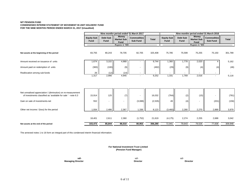# **NIT PENSION FUND**

# **CONDENDSED INTERIM STATEMENT OF MOVEMENT IN UNIT HOLDERS' FUND FOR THE NINE MONTHS PERIOD ENDED MARCH 31, 2017 (Unaudited)**

|                                                               |                           |                          | Nine months period ended 31 March 2017           |                                       |              | Nine months period ended 31 March 2016 |                         |                                                  |                                       |              |  |
|---------------------------------------------------------------|---------------------------|--------------------------|--------------------------------------------------|---------------------------------------|--------------|----------------------------------------|-------------------------|--------------------------------------------------|---------------------------------------|--------------|--|
|                                                               | <b>Equity Sub</b><br>Fund | Debt Sub<br>Fund         | <b>Money</b><br><b>Market Sub</b><br><b>Fund</b> | <b>Commodities</b><br><b>Sub Fund</b> | <b>Total</b> | Equity Sub<br>Fund                     | <b>Debt Sub</b><br>Fund | <b>Money</b><br><b>Market Sub</b><br><b>Fund</b> | <b>Commodities</b><br><b>Sub Fund</b> | <b>Total</b> |  |
|                                                               |                           |                          | Rupees in '000-                                  |                                       |              |                                        |                         | Rupees in '000-                                  |                                       |              |  |
| Net assets at the beginning of the period                     | 83,755                    | 80,243                   | 78,705                                           | 82,705                                | 325,408      | 75,785                                 | 75,599                  | 75,255                                           | 75,150                                | 301,789      |  |
| Amount received on issuance of units                          | 1,674                     | 3,102                    | 4,968                                            |                                       | 9,744        | 1,360                                  | 1,778                   | 2,020                                            |                                       | 5,162        |  |
| Amount paid on redemption of units                            | (383)                     | (100)                    | (9)                                              |                                       | (492)        | (29)                                   | (9)                     | (4)                                              | (4)                                   | (46)         |  |
| Reallocation among sub-funds                                  | 26                        | (12)                     | (14)                                             |                                       |              | $\overline{\phantom{a}}$               |                         |                                                  | $\overline{\phantom{a}}$              |              |  |
|                                                               | 1,317                     | 2,990                    | 4,945                                            |                                       | 9,252        | 1,331                                  | 1,769                   | 2,016                                            | ٠                                     | 5,116        |  |
| Net unrealised appreciation / (diminution) on re-measurement  |                           |                          |                                                  |                                       |              |                                        |                         |                                                  |                                       |              |  |
| of investments classified as 'available for sale ' - note 6.3 | 15,914                    | 125                      | (7)                                              |                                       | 16,032       | (764)                                  | (2)                     | (15)                                             |                                       | (781)        |  |
| Gain on sale of investments-net                               | 552                       | $\overline{\phantom{a}}$ | ٠                                                | (3,088)                               | (2, 535)     | 49                                     | (4)                     | $\blacksquare$                                   | (201)                                 | (156)        |  |
| Other net income / (loss) for the period                      | 1,934                     | 2,486                    | 2,367                                            | 1,336                                 | 8,123        | (3,460)                                | 2,280                   | 2,270                                            | 2,889                                 | 3,979        |  |
|                                                               | 18,401                    | 2,611                    | 2,360                                            | (1,752)                               | 21,619       | (4, 175)                               | 2,274                   | 2,255                                            | 2,688                                 | 3,042        |  |
| Net assets at the end of the period                           | 103,473                   | 85,844                   | 86,010                                           | 80,953                                | 356,280      | 72,941                                 | 79,643                  | 79,526                                           | 77,838                                | 309,948      |  |

The annexed notes 1 to 16 form an integral part of this condensed interim financial information.

 **(Pension Fund Manager) For National Investment Trust Limited**

**sd/-** sd/- sd/- **Managing Director Director Director Director Director Director Director Director Director**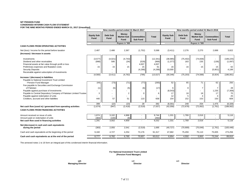## **NIT PENSION FUND CONDENSED INTERIM CASH FLOW STATEMENT FOR THE NINE MONTHS PERIOD ENDED MARCH 31, 2017 (Unaudited)**

|                                                                   | Nine months period ended 31 March 2017 |                         |                                                  |                                |              | Nine months period ended 31 March 2016 |                                |                             |                                             |            |
|-------------------------------------------------------------------|----------------------------------------|-------------------------|--------------------------------------------------|--------------------------------|--------------|----------------------------------------|--------------------------------|-----------------------------|---------------------------------------------|------------|
|                                                                   | <b>Equity Sub</b><br>Fund              | Debt Sub<br><b>Fund</b> | <b>Money</b><br><b>Market Sub</b><br><b>Fund</b> | <b>Commodities</b><br>Sub Fund | <b>Total</b> | <b>Equity Sub</b><br><b>Fund</b>       | <b>Debt Sub</b><br><b>Fund</b> | <b>Money</b><br><b>Fund</b> | Market Sub   Commodities<br><b>Sub Fund</b> | Total      |
|                                                                   |                                        |                         | -Rupees in '000--                                |                                |              |                                        |                                | -Rupees in '000--           |                                             |            |
| <b>CASH FLOWS FROM OPERATING ACTIVITIES</b>                       |                                        |                         |                                                  |                                |              |                                        |                                |                             |                                             |            |
| Net (loss) / income for the period before taxation                | 2,487                                  | 2,486                   | 2,367                                            | (1,752)                        | 5,588        | (3, 411)                               | 2,276                          | 2,270                       | 2,688                                       | 3,822      |
| (Increase) / decrease in assets                                   |                                        |                         |                                                  |                                |              |                                        |                                |                             |                                             |            |
|                                                                   |                                        |                         |                                                  |                                |              |                                        |                                |                             |                                             |            |
| Investments                                                       | (3, 577)                               | (4,021)                 | (4,743)                                          |                                | (12, 341)    | (38, 985)                              | (75, 402)                      | (74, 838)                   | $\overline{\phantom{a}}$                    | (189, 225) |
| Dividend and other receivables                                    | (998)                                  | 595                     | (34)                                             | (529)                          | (966)        | (1, 377)                               | 183                            | 235                         | (138)                                       | (1,097)    |
| Financial assets at fair value through profit or loss             |                                        |                         |                                                  | 4,007                          | 4,007        |                                        |                                |                             |                                             |            |
| Preliminary expenses and floatation costs                         | 15                                     | 15                      | 15                                               | 15                             | 61           | 16                                     | 16                             | 15                          | 15                                          | 62         |
| <b>Security Deposits</b>                                          |                                        |                         |                                                  | (4, 288)                       | (4, 288)     | 10,000                                 |                                |                             | (5,801)                                     | 4,199      |
| Receivable against subscription of investments                    |                                        |                         |                                                  |                                |              |                                        |                                |                             |                                             |            |
| Increase / (decrease) in liabilities                              | (4,560)                                | (3, 411)                | (4, 762)                                         | (795)                          | (13, 527)    | (30, 346)                              | (75, 203)                      | (74, 588)                   | (5,924)                                     | (186,061)  |
| Payable to National Investment Trust Limited                      |                                        |                         |                                                  |                                |              |                                        |                                |                             |                                             |            |
| - Pension Fund Manager                                            | (44)                                   | (73)                    | (71)                                             | (77)                           | (265)        | 52                                     | 65                             | 71                          | 62                                          | 250        |
| Fee payable to Securities and Exchange Commission                 |                                        |                         |                                                  |                                |              |                                        |                                |                             |                                             |            |
| of Pakistan                                                       | (1)                                    | (5)                     | (5)                                              | (6)                            | (17)         | 6                                      | 8                              | 7                           | $\overline{7}$                              | 28         |
| Payable against purchase of investments                           |                                        |                         |                                                  | ٠                              |              | (8, 543)                               |                                |                             | 1,235                                       | (7, 308)   |
| Payable to Central Depository Company of Pakistan Limited-Trustee | 3                                      | ٠                       | $\overline{2}$                                   | $\mathbf 0$                    | 6            | 17                                     | 18                             | 18                          | 17                                          | 70         |
| Payable against redemption of units                               |                                        |                         |                                                  |                                |              | 12                                     | 5                              |                             | 4                                           | 25         |
| Creditors, accrued and other liabilities                          | 440                                    | 57                      | 51                                               | 110                            | 658          | 154                                    | 152                            | 153                         | 150                                         | 609        |
|                                                                   |                                        |                         |                                                  |                                |              |                                        |                                |                             |                                             |            |
|                                                                   | 399                                    | (22)                    | (23)                                             | 28                             | 382          | (8, 301)                               | 248                            | 254                         | 1,475                                       | (6, 326)   |
| Net cash flow (used in) / generated from operating activities     | (1,674)                                | (947)                   | (2, 418)                                         | (2, 519)                       | (7, 557)     | (42,058)                               | (72, 678)                      | (72,062)                    | (1,761)                                     | (188, 562) |
| <b>CASH FLOWS FROM FINANCING ACTIVITIES</b>                       |                                        |                         |                                                  |                                |              |                                        |                                |                             |                                             |            |
| Amount received on issue of units                                 | 1,674                                  | 3,102                   | 4,968                                            |                                | 9,744        | 1,331                                  | 1,769                          | 2,016                       | $\frac{1}{2}$                               | 5,116      |
| Amount paid on redemption of units                                | (383)                                  | (100)                   | (9)                                              | $\overline{\phantom{a}}$       | (492)        |                                        |                                |                             | $\sim$                                      |            |
| Net cash flow used in financing activities                        | 1,291                                  | 3,002                   | 4,959                                            |                                | 9,252        | 1,331                                  | 1,769                          | 2,016                       |                                             | 5,116      |
| Net (decrease) in cash and cash equivalents                       |                                        |                         |                                                  |                                |              |                                        |                                |                             |                                             |            |
| during the period                                                 | (383)                                  | 2,055                   | 2,541                                            | (2,519)                        | 1,695        | (40, 727)                              | (70, 909)                      | (70, 046)                   | (1,761)                                     | (183, 446) |
| Cash and cash equivalents at the beginning of the period          | 9,160                                  | 4,727                   | 4,254                                            | 73,176                         | 91,317       | 47,682                                 | 75,459                         | 75,110                      | 75,005                                      | 273,256    |
| Cash and cash equivalents as at the end of the period             | 8.777                                  | 6.782                   | 6.795                                            | 70.657                         | 93.012       | 6.954                                  | 4.550                          | 5.063                       | 73.244                                      | 89,810     |

The annexed notes 1 to 16 form an integral part of this condensed interim financial information.

# **For National Investment Trust Limited (Pension Fund Manager)**

**Managing Director Director Director Director Director Director Director Director Director** 

**sd/-** sd/- sd/-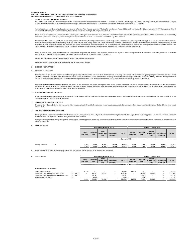## **NIT PENSION FUND**

## **NOTES TO AND FORMING PART OF THE CONDENSED INTERIM FINANCIAL INFORMATION**

FOR THE NINE MONTHS PERIOD ENDED MARCH 31, 2017 (Unau

## **1 LEGAL STATUS AND NATURE OF BUSINESS**

NIT Pension Fund ("the Fund") was established under a Trust Deed executed between National Investment Trust Limited as Pension Fund Manager and Central Depository Company of Pakistan Limited (CDC) as<br>trustee. The Fund was

National Investment Trust Limited has been licensed to act as a Pension Fund Manager under the Voluntary Pension Scheme Rules, 2005 through a certifcate of registration issued by SECP. The registered office of<br>the Pension

The Fund is an unlisted pension scheme and offers units for public subscription on a continuous basis. The units are non-transferable except in the circumstances mentioned in VPS Rules and can be redeemed by<br>surrendering t

The objective of the Fund is to provide individuals with a portable, individualised, funded (based on defined contribution), flexible pension scheme, assisting and facilitating them to plan and provide for their retirment.

The Fund received Seed Money from Pension Fund Manager amounting to Rs. 300 million (i.e. Rs. 75 million in each Sub-Fund) on 12 June 2015 against which 30 million units at the offer price of Rs. 10 each unit were issued (i.e. 75 million of each Sub-fund). Accordingly, the Fund commenced its operations from 12 June 2015.

PACRA has maintained an asset manager rating of "AM2+" to the Pension Fund Manager.

Title of the assets of the fund are held in the name of CDC as the trustee of the fund.

#### **2 BASIS OF PREPARATION**

#### **2.1 Statement of compliance**

This condensed interim financial information has been prepared in accordance with the requirements of the International Accounting Standard 34 - Interim Financial Reporting and provisions of and directives issued<br>under the

This condensed interim financial information does not include all the information and disclosures required in the annual financial statements and should therefore be read in conjunction with the annual financial<br>statements

#### **2.2 Functional and presentation currency**

This condensed interim financial information is presented in Pak Rupees, which is the Fund's functional and presentation currency. All financial information presented in Pak Rupees has been rounded off to the<br>nearest thous

## **3 SIGNIFICANT ACCOUNTING POLICIES**

The accounting policies adopted for the preparation of the condensed interim financial information are the same as those applied in the preparation of the annual financial statements of the Fund for the year, ended<br>30 June

## 4 **USE OF JUDGEMENTS AND ESTIMATES**

The preparation of condensed interim financial information requires management to make judgements, estimates and assumption that affect the application of accounting policies and reported amount of assets and<br>liabilities,

The significant judgements made by management in applying the accounting policies and the key sources of estimation uncertainty were the same as those that applied to financial statements as at and for the year ended 30 June 2016.

#### **5 BANK BALANCES**

|                              |      | Unaudited (March 31, 2017)  |                                                    |                | Audited (June 30, 2016)   |      |                      |                                             |              |  |  |  |
|------------------------------|------|-----------------------------|----------------------------------------------------|----------------|---------------------------|------|----------------------|---------------------------------------------|--------------|--|--|--|
| <b>Equity</b><br>Sub Fund II | Fund | <b>Money</b><br><b>Fund</b> | Debt Sub Market Sub Commodities<br><b>Sub Fund</b> | <b>TOTAL</b>   | <b>Equity</b><br>Sub Fund | Fund | <b>Money</b><br>Fund | Debt Sub Market Sub Commodities<br>Sub Fund | <b>TOTAL</b> |  |  |  |
|                              |      |                             |                                                    | Rupees in '000 |                           |      |                      |                                             |              |  |  |  |

**Audited (June 31, 2016)**

| Savings accounts | T. I | 8.803 | 6.770       | 6.781 | 74.401<br>.164                   | 93.518                         | 9.160 | - יי<br>4.14         | 4.25         | <b>72.47C</b><br>73.170 | 91.317          |
|------------------|------|-------|-------------|-------|----------------------------------|--------------------------------|-------|----------------------|--------------|-------------------------|-----------------|
|                  |      | 8.80? | ---<br>0.11 | 6.781 | $\overline{\phantom{a}}$<br>.104 | $\sim$ $\sim$ $\sim$<br>93.518 | J.160 | $-2$<br><b>4.14.</b> | $-$<br>4.254 | $\sim$ $\sim$<br>,,,,,  | 04 247<br>71.31 |

**Unaudited (March 31, 2017)**

**5.1** These accounts carry return at rates ranging from 3.75% to 6.25% per annum (30 June 2016: 2% to 7.25% per annum).

#### **6 INVESTMENTS**

|                                                 |               | <b>Equity</b><br>Sub Fund | II Debt Sub II.<br>Fund | <b>Money</b><br><b>Fund</b> | Market Sub Commodities<br>Sub Fund | <b>TOTAL</b>      | <b>Equity</b><br>Sub Fund | Debt Sub II<br>Fund | <b>Money</b><br><b>Fund</b> | Market Sub Commodities<br>Sub Fund | <b>TOTAL</b> |
|-------------------------------------------------|---------------|---------------------------|-------------------------|-----------------------------|------------------------------------|-------------------|---------------------------|---------------------|-----------------------------|------------------------------------|--------------|
|                                                 |               |                           |                         |                             |                                    | -Rupees in '000-- |                           |                     |                             |                                    |              |
|                                                 |               |                           |                         |                             |                                    |                   |                           |                     |                             |                                    |              |
| Available for sale investments                  |               |                           |                         |                             |                                    |                   |                           |                     |                             |                                    |              |
| <b>Listed Equity Securities</b>                 | 6.1           | 94.196                    |                         |                             |                                    | 94.196            | 74.705                    |                     |                             |                                    | 74.705       |
| Government securities-Market Treasury Bills     | 6.2.1 & 6.2.2 |                           | 48.882                  | 79.651                      | ۰.                                 | 128.533           | $\overline{\phantom{a}}$  | 44.949              | 74.915                      |                                    | 119.864      |
| Government securities-Pakistan Investment Bonds | 6.2.1 & 6.2.2 |                           | 25.642                  |                             |                                    | 25.642            |                           | 26.116              |                             | . .                                | 26.116       |
| <b>Term Finance Certificates</b>                | 6.2.1         |                           | 4.936                   |                             |                                    | 4.936             |                           | 4.250               |                             |                                    | 4.250        |
|                                                 |               | 94.196                    | 79.461                  | 79.651                      | $\overline{\phantom{a}}$           | 253,308           | 74.705                    | 75.315              | 74.915                      |                                    | 224.935      |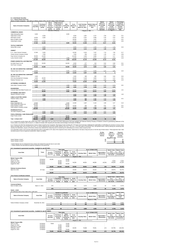# **6.1 -Listed Equity Securities 6.1.1 - Held by Equity Sub-Fund**

| Shares of listed companies - fully paid up ordinary shares of Rs. 10 each unless stated otherwise |                              |                                          |                                                            |                                                                         |                              |                            |                                                  |                                         | <b>Market</b>                                               | Market                                                            | Percentage                                                  |
|---------------------------------------------------------------------------------------------------|------------------------------|------------------------------------------|------------------------------------------------------------|-------------------------------------------------------------------------|------------------------------|----------------------------|--------------------------------------------------|-----------------------------------------|-------------------------------------------------------------|-------------------------------------------------------------------|-------------------------------------------------------------|
| <b>Name of Investee Companies</b>                                                                 | As at 01<br><b>July 2016</b> | <b>Purchases</b><br>during the<br>period | <b>Bonus</b><br>shares<br>received<br>during the<br>period | <b>Right shares</b><br>purchased/<br>subscribed<br>during the<br>period | Sale<br>during the<br>period | As at<br>March 31.<br>2017 | Cost/ Carrying<br>value ast at<br>March 31, 2017 | Market Value as<br>at March 31,<br>2017 | value as a<br>percentage<br>of net<br>assets of<br>sub-fund | value as a<br>percentage<br>of total<br>investment<br>of sub-fund | of paid-up<br>capital of the<br>investee<br>company<br>held |
| <b>COMMERCIAL BANKS</b>                                                                           |                              |                                          |                                                            | -(Number of Shares)----                                                 |                              |                            | ----Rupees in '000-                              |                                         |                                                             |                                                                   |                                                             |
| Habib Metropolitan Bank                                                                           | 8.000                        | ł.                                       |                                                            |                                                                         | 8.000                        |                            |                                                  | J.                                      |                                                             |                                                                   |                                                             |
| Habib Bank Limited                                                                                |                              | 8.000                                    |                                                            |                                                                         |                              | 8.000                      | 1.897                                            | 2.157                                   | 2.08                                                        | 2.29                                                              | 0.01                                                        |
| <b>MCB Bank Limited</b>                                                                           | 19,000                       | 6,000                                    |                                                            |                                                                         | ÷,                           | 25,000                     | 5,297                                            | 5,685                                   | 5.49                                                        | 6.04                                                              | 0.05                                                        |
| Bank Al Habib Limited                                                                             | 30,000                       | ÷                                        |                                                            |                                                                         |                              | 30,000                     | 1,324                                            | 1,607                                   | 1.55                                                        | 1.71                                                              | 0.01                                                        |
| United Bank Limited                                                                               | 10,000                       | 17.000                                   |                                                            |                                                                         |                              | 27.000                     | 5.580                                            | 6.146                                   | 5.94                                                        | 6.52                                                              | 0.05                                                        |
|                                                                                                   | 67,000                       | 31,000                                   |                                                            | ÷.                                                                      | 8,000                        | 90,000                     | 14,098                                           | 15,594                                  | 15.07                                                       | 16.56                                                             |                                                             |
|                                                                                                   |                              |                                          |                                                            |                                                                         |                              |                            |                                                  |                                         |                                                             |                                                                   |                                                             |
| <b>TEXTILE COMPOSITE</b>                                                                          |                              |                                          |                                                            |                                                                         |                              |                            |                                                  |                                         |                                                             |                                                                   |                                                             |
| Nishat Mills Limited                                                                              |                              | 8.000                                    |                                                            |                                                                         |                              | 8.000                      | 1.111                                            | 1.322                                   | 1.28                                                        | 1.40                                                              | 0.04                                                        |
|                                                                                                   | ٠                            | 8,000                                    |                                                            | $\lambda$                                                               | $\overline{a}$               | 8,000                      | 1.111                                            | 1.322                                   | 1.28                                                        | 1.40                                                              |                                                             |
| <b>CEMENT</b>                                                                                     |                              |                                          |                                                            |                                                                         |                              |                            |                                                  |                                         |                                                             |                                                                   |                                                             |
| D. G. Khan Cement Company                                                                         | 27,000                       | 5.000                                    |                                                            |                                                                         | ÷,                           | 32,000                     | 5.324                                            | 7.437                                   | 7.19                                                        | 7.90                                                              | 0.17                                                        |
| Cherat Cement Company Limited                                                                     | ÷,                           | 7.500                                    |                                                            |                                                                         | Ĭ.                           | 7.500                      | 939                                              | 1.434                                   | 1.39                                                        | 1.52                                                              | 0.08                                                        |
| Fauji Cement Company Ltd.                                                                         | 90.000                       | 24,000                                   |                                                            |                                                                         | J.                           | 114,000                    | 4.283                                            | 4,866                                   | 4.70                                                        | 5.17                                                              | 0.04                                                        |
| Lucky Cement Limited                                                                              | 10,000                       | 2,000                                    |                                                            |                                                                         | 1.000                        | 11,000                     | 6,173                                            | 9,211                                   | 8.90                                                        | 9.78                                                              | 0.28                                                        |
|                                                                                                   | 127,000                      | 38,500                                   |                                                            |                                                                         | 1.000                        | 164,500                    | 16,720                                           | 22,948                                  | 22.18                                                       | 24.36                                                             |                                                             |
| POWER GENERATIN & DISTRIBUTION                                                                    |                              |                                          |                                                            |                                                                         |                              |                            |                                                  |                                         |                                                             |                                                                   |                                                             |
| Kot Addu Power Co.Ltd.                                                                            | 52,000                       | 20,000                                   |                                                            |                                                                         | 64,000                       | 8,000                      | 677                                              | 642                                     | 0.62                                                        | 0.68                                                              | 0.01                                                        |
| Hub Power Company                                                                                 | 40,000                       |                                          |                                                            |                                                                         |                              | 40,000                     | 3,899                                            | 5,242                                   | 5.07                                                        | 5.57                                                              | 0.05                                                        |
|                                                                                                   | 92,000                       | 20,000                                   | ÷.                                                         | ٠                                                                       | 64,000                       | 48,000                     | 4,576                                            | 5,884                                   | 5.69                                                        | 6.25                                                              |                                                             |
| OIL AND GAS MARKETING COMPANIES                                                                   |                              |                                          |                                                            |                                                                         |                              |                            |                                                  |                                         |                                                             |                                                                   |                                                             |
| Pakistan State Oil Co. Ltd.                                                                       | 19,000                       |                                          |                                                            |                                                                         | 6,000                        | 13,000                     | 5,097                                            | 5,506                                   | 5.32                                                        | 5.85                                                              | 0.20                                                        |
|                                                                                                   | 19,000                       | ÷.                                       | $\overline{a}$                                             | $\lambda$                                                               | 6.000                        | 13,000                     | 5,097                                            | 5.506                                   | 5                                                           | 6                                                                 |                                                             |
| OIL AND GAS MARKETING COMPANIES                                                                   |                              |                                          |                                                            |                                                                         |                              |                            |                                                  |                                         |                                                             |                                                                   |                                                             |
| Pakistan Oil Field                                                                                | 2.000                        |                                          |                                                            |                                                                         |                              | 2.000                      | 698                                              | 890                                     | 0.86                                                        | 0.94                                                              | 0.04                                                        |
| Oil & Gas Development Company                                                                     | 5,000                        | 28,000                                   |                                                            | ÷                                                                       | ÷,                           | 33,000                     | 5,169                                            | 4,894                                   | 4.73                                                        | 5.20                                                              | 0.01                                                        |
| Pakistan Petroleum Ltd.                                                                           | 37,500                       | 3,000                                    |                                                            | ÷                                                                       | ٠                            | 40,500                     | 5,078                                            | 6,274                                   | 6.06                                                        | 6.66                                                              | 0.03                                                        |
|                                                                                                   | 44,500                       | 31,000                                   |                                                            | ä,                                                                      | ä,                           | 75,500                     | 10,945                                           | 12,058                                  | 12                                                          | 13                                                                |                                                             |
| AUTOMOBILE ASSEMBLER                                                                              |                              |                                          |                                                            |                                                                         |                              |                            |                                                  |                                         |                                                             |                                                                   |                                                             |
| Indus Motor Company Limited                                                                       | 5,000                        |                                          |                                                            | ÷,                                                                      | 1,000                        | 4,000                      | 3,758                                            | 6,366                                   | 6.15                                                        | 6.76                                                              | 0.81                                                        |
|                                                                                                   | 5,000                        | ä,                                       | ÷.                                                         | ٠                                                                       | 1,000                        | 4,000                      | 3,758                                            | 6,366                                   | 6.15                                                        | 6.76                                                              |                                                             |
| <b>ENGINEERING</b>                                                                                |                              |                                          |                                                            |                                                                         |                              |                            |                                                  |                                         |                                                             |                                                                   |                                                             |
| Crescent Steel And Allied Proudcts Ltd                                                            | ä,                           | 48,500<br>48.500                         |                                                            | ٠                                                                       | 8,500<br>8,500               | 40,000<br>40,000           | 5,021<br>5.021                                   | 10,012<br>10,012                        | 9.68<br>9.68                                                | 10.63<br>10.63                                                    | 1.61                                                        |
| <b>AUTOMOBILE AND PARTS</b>                                                                       |                              |                                          |                                                            |                                                                         |                              |                            |                                                  |                                         |                                                             |                                                                   |                                                             |
| Agriauto Industries Limited.                                                                      |                              | 5.000                                    |                                                            |                                                                         |                              | 5.000                      | 1.221                                            | 1.442                                   | 1.39                                                        | 1.53                                                              | 1.00                                                        |
| <b>CABLE &amp; ELECTRIC GOODS</b>                                                                 | í.                           | 5,000                                    | ä,                                                         | τ                                                                       | τ                            | 5,000                      | 1.221                                            | 1.442                                   | 1.39                                                        | 1.53                                                              |                                                             |
| Pakistan Cables Limited                                                                           |                              | 4.000                                    |                                                            |                                                                         |                              | 4.000                      | 883                                              | 1.181                                   | 1.14                                                        | 1.25                                                              | 0.41                                                        |
|                                                                                                   |                              | 4,000                                    |                                                            |                                                                         | ä,                           | 4,000                      | 883                                              | 1,181                                   | 1.14                                                        | 1.25                                                              |                                                             |
| <b>FERTILIZER</b>                                                                                 |                              |                                          |                                                            |                                                                         |                              |                            |                                                  |                                         |                                                             |                                                                   |                                                             |
| Engro Corporation Ltd.                                                                            | 19,500                       | l,                                       |                                                            |                                                                         | 5,500                        | 14,000                     | 4,287                                            | 5,152                                   | 4.98                                                        | 5.47                                                              | 0.10                                                        |
| Fauji Fertilizer Bin Qasim Ltd.<br>Engro Fertilizer Limited                                       | 105,000<br>30,000            | i.                                       |                                                            |                                                                         | 105,000<br>15,000            | 15,000                     | 940                                              | 940                                     | 0.91                                                        | 1.00                                                              | 0.01                                                        |
| Fauji Fertilizer Company Limited.                                                                 | 48,000                       |                                          |                                                            |                                                                         | 38,000                       | 10,000                     | 1.036                                            | 1.036                                   | 1.00                                                        | 1.10                                                              | 0.01                                                        |
|                                                                                                   | 202,500                      | ä,                                       |                                                            | ٠                                                                       | 163,500                      | 39,000                     | 6,262                                            | 7.128                                   | 6.89                                                        | 7.57                                                              |                                                             |
| <b>PHARMACEUTICALS</b>                                                                            |                              |                                          |                                                            |                                                                         |                              |                            |                                                  |                                         |                                                             |                                                                   |                                                             |
| The Searl Company Limited                                                                         | ٠                            | 6,000<br>6,000                           | 1,524<br>1,524                                             | ٠                                                                       | ٠                            | 7.524<br>7,524             | 3,510<br>3,510                                   | 4.755<br>4,755                          | 4.71<br>4.71                                                | 5.05<br>5.05                                                      |                                                             |
| FOOD & PERSONAL CARE PRODUCERS                                                                    |                              |                                          |                                                            |                                                                         |                              |                            |                                                  |                                         |                                                             |                                                                   |                                                             |
| <b>Engro Foods Limited</b>                                                                        | 27.000                       | 11.000                                   |                                                            |                                                                         | 38,000                       |                            |                                                  |                                         |                                                             |                                                                   |                                                             |
|                                                                                                   | 27,000                       | 11,000                                   |                                                            | ٠                                                                       | 38,000                       |                            |                                                  |                                         |                                                             |                                                                   |                                                             |
| <b>Total - 31 March 2017</b>                                                                      | 584,000                      | 203,000                                  | 1,524                                                      | ٠                                                                       | 290,000                      | 498,524                    | 73,203                                           | 94,196                                  | 91                                                          | 100                                                               |                                                             |

6.1.2- Investments include shares with market value of Rs. 4.869 million (30 June 2016: Rs 50.062 million)which have peen pledged with National Clearing Company of Pakistan Limited for guaranteeing settlement of the<br>Fund's

6.1.3- Finance Act 2014 has introduced tax on bonus shares issued by the Companies. Most From the Court, The Equity Funds in Number of Equity Finance After Home that experiment the product of the Court) on various shares a

| recorded as part of cost of respective investments. Detail is as follows. |                                |                                          |                                    |
|---------------------------------------------------------------------------|--------------------------------|------------------------------------------|------------------------------------|
|                                                                           | 5% (No.<br>of Bonus<br>shares) | <b>Market</b><br>value as at<br>31 March | Payment<br>made to the<br>investee |
|                                                                           |                                | 2017<br>(Rupees in '000)                 | companies                          |
| Searle Pakistan Limited*                                                  | 42                             | 27                                       | 21                                 |
| Searle Pakistan Limited**                                                 | 34                             | 21                                       | 21                                 |
|                                                                           |                                | 48                                       | 42                                 |

\* Searle Pakistan has not released the bonus shares and retained the payment due to court order \*\* Searle Pakistan has demanded the payment subsquent to the period end.

| 6.2.1 -Investment in government securities - Available for sale (PF DSF)  |                        |                              | Face value                        |                                           |                           |                       | As at 31 March 2017 |                                | <b>Market Value</b>                        | <b>Market Value</b>                         |
|---------------------------------------------------------------------------|------------------------|------------------------------|-----------------------------------|-------------------------------------------|---------------------------|-----------------------|---------------------|--------------------------------|--------------------------------------------|---------------------------------------------|
| <b>Issue Date</b>                                                         | Tenor                  | As at 01<br><b>July 2016</b> | Purchases<br>During the<br>Period | Sales/<br>Matured<br>During the<br>Period | As at<br>March 31<br>2017 | <b>Carrying Value</b> | <b>Market Value</b> | Appreciation /<br>(Diminution) | as a<br>Percentage of<br><b>Net Assets</b> | as a<br>Percentage of<br><b>Investments</b> |
| <b>Market Treasury Bills</b>                                              |                        |                              |                                   |                                           |                           | Rupees in '000-       | ----                |                                |                                            |                                             |
| April 14, 2016                                                            | 03 Months              | 45,000                       | ٠                                 | 45,000                                    | $\overline{a}$            |                       |                     | $\overline{a}$                 | $\overline{a}$                             |                                             |
| August 18, 2016                                                           | 06 Months              |                              | 45.000                            | 45,000                                    |                           |                       |                     |                                | 0.00%                                      | 0.00%                                       |
| February 16, 2017                                                         | 06 Months              | ٠                            | 50.000                            |                                           | 50.000                    | 48.901                | 48.883              | (18.00)                        | 56.94%                                     | 61.52%                                      |
| August 20, 2015                                                           | 12 Months              |                              | 45.000                            | 45,000                                    | ٠                         |                       | i,                  |                                | $\overline{a}$                             | ×,                                          |
|                                                                           |                        |                              |                                   |                                           |                           |                       |                     |                                |                                            |                                             |
|                                                                           |                        | 45.000                       | 140,000                           | 135,000                                   | 50.000                    | 48.901                | 48.883              | (18)                           | 56.94%                                     | 61.52%                                      |
| <b>Pakistan Investment Bonds</b><br>March 26, 2015                        | 03 Years               | 25,000                       |                                   | L.                                        | 25,000                    | 25.572                | 25.642              | 70                             | 29.87%                                     | 32.27%                                      |
|                                                                           |                        | 25,000                       | $\blacksquare$                    | $\overline{\phantom{a}}$                  | 25,000                    | 25,572                | 25.642              | 70                             | 29.87%                                     | 32.27%                                      |
|                                                                           |                        |                              |                                   |                                           |                           |                       |                     |                                |                                            |                                             |
| <b>Term Finance Certificates-Unlisted</b>                                 |                        |                              | Face value                        |                                           |                           |                       | As at 31 March 2017 |                                | Market Value                               | Market Value                                |
|                                                                           |                        |                              | Purchases                         | <b>Disposed</b>                           | As at                     |                       |                     |                                | as a                                       | as a                                        |
| Name of Investee Company                                                  | <b>Issue Date</b>      | As at 01                     | During the                        | during the                                | March 31                  | <b>Carrying Value</b> | <b>Market Value</b> | Appreciation /                 | Percentage of                              | Percentage of                               |
|                                                                           |                        | <b>July 2016</b>             | Period                            | Period                                    | 2017                      |                       |                     | (Diminution)                   | <b>Net Assets</b>                          | <b>Investments</b>                          |
|                                                                           |                        |                              |                                   |                                           |                           |                       |                     |                                |                                            |                                             |
| <b>Commercial Banks</b><br>Bank Al-Habib Limited                          | March 17, 2016         | 875                          |                                   |                                           | 875                       | 4.374                 | 4.424               | 50                             | 5.15%                                      | 5.57%                                       |
|                                                                           |                        |                              |                                   |                                           |                           |                       |                     |                                |                                            |                                             |
|                                                                           |                        | 875                          | ٠                                 | ٠                                         | 875                       | 4.374                 | 4.424               | 50                             | 5.15%                                      | 5.57%                                       |
| Sukuk - Listed                                                            |                        |                              |                                   |                                           |                           |                       |                     |                                |                                            |                                             |
| All Certificates have a Face Value of Rs. 5,000 each.                     |                        |                              | <b>Number of Certificates</b>     |                                           |                           |                       | As at 31 March 2017 |                                | <b>Market Value</b>                        | market value                                |
|                                                                           |                        |                              | Purchases                         | <b>Disposed</b>                           | As at                     |                       |                     |                                | as a                                       | as a                                        |
| Name of Investee Company                                                  | <b>Issue Date</b>      | As at 01<br><b>July 2016</b> | During the<br>Period              | During the<br>Period                      | March 31<br>2017          | <b>Carrying Value</b> | <b>Market Value</b> | Appreciation /<br>(Diminution) | Percentage of<br><b>Net Assets</b>         | Percentage of<br>Total<br>Investments       |
|                                                                           |                        |                              |                                   |                                           |                           |                       | (Rupees in '000)    |                                |                                            |                                             |
|                                                                           |                        |                              |                                   |                                           |                           |                       |                     |                                |                                            |                                             |
| Fatima Fertilizer Company Limited                                         | November 28, 2016      |                              | 99                                |                                           | 99                        | 495                   | 512                 | 17                             | 0.60%                                      | 0.64%                                       |
|                                                                           |                        |                              | 99                                | ä,                                        | 99                        | 495                   | 512                 | 17                             | 0.60%                                      | 0.64%                                       |
|                                                                           |                        |                              |                                   |                                           |                           |                       |                     |                                |                                            |                                             |
|                                                                           |                        | 875                          | 99                                | ٠                                         | 974                       | 4.869                 | 4.936               | 67                             | 5.75%                                      | 6.21%                                       |
| 6.2.2 -Investment in government securities - Available for sale (PF MMSF) |                        |                              |                                   |                                           |                           |                       |                     |                                |                                            |                                             |
|                                                                           |                        |                              | Face value                        |                                           |                           |                       | As at 31 March 2017 |                                |                                            |                                             |
|                                                                           |                        |                              | Purchases                         | Sales/                                    | As at                     |                       |                     |                                | <b>Market Value</b><br>as a                | <b>Market Value</b><br>as a                 |
| <b>Issue Date</b>                                                         |                        | As at 01                     | During the                        | Matured                                   | March 31                  | <b>Carrving Value</b> | <b>Market Value</b> | Appreciation /                 | Percentage of                              | Percentage of                               |
|                                                                           |                        | <b>July 2015</b>             | Period                            | During the                                | 2017                      |                       |                     | (Diminution)                   | <b>Net Assets</b>                          | <b>Investments</b>                          |
|                                                                           |                        |                              |                                   | Period                                    |                           |                       |                     |                                |                                            |                                             |
|                                                                           |                        |                              | ---                               |                                           |                           | -Rupees in '000--     |                     |                                |                                            |                                             |
| <b>Market Treasury Bills</b>                                              |                        |                              |                                   |                                           |                           |                       |                     |                                |                                            |                                             |
| April 14, 2016                                                            | 03 Months              | 75000                        | $\overline{a}$                    | 75,000                                    |                           |                       |                     |                                |                                            |                                             |
| August 18, 2016<br>November 10, 2016                                      | 03 Months<br>03 Months |                              | 75,000<br>75,000                  | 75,000<br>75,000                          | ł.                        |                       |                     |                                |                                            |                                             |
| February 2, 2017                                                          | 03 Months              |                              | 80.000                            |                                           | 80,000                    | 79.668                | 79.651              | (17)                           | 92.79%                                     | 100.24%                                     |
| August 20, 2015                                                           | 12 Months              |                              | 75,000                            | 75,000                                    |                           |                       |                     |                                |                                            |                                             |

 **75,000 305,000 300,000 80,000 79,668 79,651 (17) 92.79% 100.24%**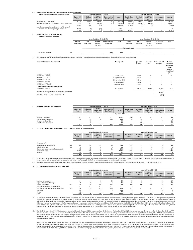| 6.3            | Net unrealised (diminution) / appreciation on re-measurement of                                                                                                 |                                  |                         |                                           |                                       |                      |                           |                    |                            |                                           |                                                     |
|----------------|-----------------------------------------------------------------------------------------------------------------------------------------------------------------|----------------------------------|-------------------------|-------------------------------------------|---------------------------------------|----------------------|---------------------------|--------------------|----------------------------|-------------------------------------------|-----------------------------------------------------|
|                | investments classified as 'available for sale'                                                                                                                  |                                  |                         | Unaudited (March 31, 2017)                |                                       |                      |                           |                    | Unaudited (March 31, 2016) |                                           |                                                     |
|                |                                                                                                                                                                 | <b>Equity Sub</b><br><b>Fund</b> | <b>Debt Sub</b><br>Fund | Money<br><b>Market Sub</b><br><b>Fund</b> | <b>Commodities</b><br><b>Sub Fund</b> | <b>TOTAL</b>         | <b>Equity Sub</b><br>Fund | Debt Sub<br>Fund   | Money<br>Fund              | Market Sub Commodities<br><b>Sub Fund</b> | <b>TOTAL</b>                                        |
|                | Market value of investments                                                                                                                                     | 94,196                           | 79,461                  | 79,651                                    | ۰                                     | 253,308              | 61,821                    | 74,801             | 74,801                     |                                           | 211.423                                             |
|                | Less: Carrying value of investments - net of impairment                                                                                                         | 73.203                           | 79,341                  | 79,668                                    |                                       | 232.212              | 69.363                    | 74,804             | 74,804                     |                                           | 218,971                                             |
|                |                                                                                                                                                                 | 20.993                           | 120                     | (17)                                      |                                       | 21.096               | (7, 542)                  | (3)                | (3)                        |                                           | (7, 548)                                            |
|                | Less: Net unrealised appreciation in the fair value of                                                                                                          |                                  |                         |                                           |                                       |                      |                           |                    |                            |                                           |                                                     |
|                | investments at the beginning of the period                                                                                                                      | 5,079                            | (5)                     | (10)                                      |                                       | 5,064                | 29                        |                    |                            |                                           | 29                                                  |
|                |                                                                                                                                                                 | 15,914                           | 125                     | (7)                                       |                                       | 16,032               | (7, 571)                  | (3)                | (3)                        |                                           | (7, 577)                                            |
| $\overline{7}$ | <b>FINANCIAL ASSETS AT FAIR VALUE</b><br><b>THROUGH PROFIT OR LOSS</b>                                                                                          |                                  |                         | Unaudited (March 31, 2017)                |                                       |                      |                           |                    | Unaudited (March 31, 2016) |                                           |                                                     |
|                |                                                                                                                                                                 | Equity                           | Debt                    | Money                                     | <b>Commodities</b>                    | <b>Total</b>         | Equity                    | Debt               | Money                      | Commodities                               | Total                                               |
|                |                                                                                                                                                                 | Sub-Fund                         | Sub-Fund                | <b>Market</b>                             | Sub-Fund                              |                      | Sub-Fund                  | Sub-Fund           | Market                     | Sub-Fund                                  |                                                     |
|                |                                                                                                                                                                 |                                  |                         |                                           |                                       |                      |                           |                    |                            |                                           |                                                     |
|                |                                                                                                                                                                 |                                  |                         | Sub-Fund                                  |                                       |                      |                           |                    | Sub-Fund                   |                                           |                                                     |
|                |                                                                                                                                                                 |                                  |                         |                                           |                                       |                      |                           |                    |                            |                                           |                                                     |
|                | - Future gold contracts<br>7.1                                                                                                                                  |                                  |                         |                                           | (507)                                 | (507)                |                           |                    |                            |                                           |                                                     |
|                |                                                                                                                                                                 |                                  |                         |                                           |                                       |                      |                           |                    |                            |                                           |                                                     |
| 7.1            | This represents net fair value of gold future contracts entered into by the Fund at the Pakistan Mercantile Exchange. The details of contracts are given below: |                                  |                         |                                           |                                       |                      |                           |                    |                            |                                           |                                                     |
|                | Commodities contracts - matured                                                                                                                                 |                                  |                         |                                           |                                       | <b>Maturity date</b> |                           | Quantity<br>ounces | Value of<br>Gold           | Value of Gold<br>in futures               | <b>Market</b><br>value as a<br>percentage<br>of net |

|                                                            |                   |        |        |        | of sub fund<br>( %) |
|------------------------------------------------------------|-------------------|--------|--------|--------|---------------------|
| Gold 10 oz - AUG 16                                        | 26 July 2016      | 460 oz | ۰.     | $\sim$ | $\sim$              |
| Gold 10 oz - OCT 16                                        | 27 September 2016 | 460 oz |        |        | $\sim$              |
| Gold 10 oz - DEC 16                                        | 25 November 2016  | 490 oz |        |        | $\sim$              |
| Gold 10 oz - FEB 17                                        | 26 January 2017   | 710 oz |        |        |                     |
| Gold 10 oz - APRIL 17                                      | 28 March 2017     | 470 oz |        |        | $\sim$              |
| Commodities contracts - outstanding                        |                   |        |        |        |                     |
| Gold 10 oz - JUNE 17                                       | 26 May 2017       | 470 oz | 13.108 | 61.609 | 76.10               |
| Liabilities against gold futures at contracted rates-USD\$ |                   |        |        | 62,116 |                     |
| Unrealised (loss) on future contracts of gold              |                   |        |        | (507)  |                     |

**assets**

| <b>DIVIDEND &amp; PROFIT RECEIVABLES</b> |                                  |                         | Unaudited (March 31, 2017)                       |                                |              |                                  |                          | <b>Audited (June 30, 2016)</b> |                                    |              |
|------------------------------------------|----------------------------------|-------------------------|--------------------------------------------------|--------------------------------|--------------|----------------------------------|--------------------------|--------------------------------|------------------------------------|--------------|
|                                          | <b>Equity Sub</b><br><b>Fund</b> | Debt Sub<br><b>Fund</b> | <b>Money</b><br><b>Market Sub</b><br><b>Fund</b> | <b>Commodities</b><br>Sub Fund | <b>TOTAL</b> | <b>Equity Sub</b><br><b>Fund</b> | Debt Sub<br>Fund         | <b>Money</b><br><b>Fund</b>    | Market Sub Commodities<br>Sub Fund | <b>TOTAL</b> |
|                                          |                                  |                         | -Rupees in '000--                                |                                |              |                                  |                          |                                |                                    |              |
|                                          |                                  |                         |                                                  |                                |              |                                  |                          |                                |                                    |              |
| Dividend Receivable                      | 1.321                            | <b>.</b>                |                                                  | -                              | 1.321        | 359                              | $\overline{\phantom{a}}$ | $\sim$                         | $\overline{\phantom{a}}$           | 359          |
| Profit on deposit accounts               | 46                               | 39                      | 54                                               | 566                            | 705          |                                  | 19                       | 19                             | ۰                                  | 49           |
| Government Securities                    |                                  | 45                      |                                                  |                                | 45           |                                  | 90                       |                                | 37                                 | 127          |
| <b>Term Finance Certificates</b>         |                                  | 12                      |                                                  |                                | 12           |                                  | 58'                      |                                |                                    | 581          |
|                                          | 1.367                            | 96                      | 54                                               | 566                            | 2.083        | 370                              | 690                      | 19                             | 37                                 | 1.116        |

## **9 PAYABLE TO NATIONAL INVESTMENT TRUST LIMITED - PENSION FUND MANAGER**

|                                         |     |                                  |                         | Unaudited (March 31, 2017)                |                                |              | <b>Audited (June 30, 2016)</b>   |                         |                             |                                    |              |
|-----------------------------------------|-----|----------------------------------|-------------------------|-------------------------------------------|--------------------------------|--------------|----------------------------------|-------------------------|-----------------------------|------------------------------------|--------------|
|                                         |     | <b>Equity Sub</b><br><b>Fund</b> | Debt Sub<br><b>Fund</b> | Money<br><b>Market Sub</b><br><b>Fund</b> | <b>Commodities</b><br>Sub Fund | <b>TOTAL</b> | <b>Equity Sub</b><br><b>Fund</b> | Debt Sub<br><b>Fund</b> | <b>Money</b><br><b>Fund</b> | Market Sub Commodities<br>Sub Fund | <b>TOTAL</b> |
|                                         |     |                                  | -Rupees in '000--       |                                           |                                |              |                                  |                         |                             |                                    |              |
|                                         |     |                                  |                         |                                           |                                |              |                                  |                         |                             |                                    |              |
| On account of:                          |     |                                  |                         |                                           |                                |              |                                  |                         |                             |                                    |              |
| Management remuneration                 | 9.1 | 67                               | 37                      | 43                                        | 34                             | 180          | 102                              | 97                      | 101                         | 98                                 | 398          |
| Sindh Sales Tax                         | 9.2 |                                  |                         |                                           |                                | 24           | 17                               | 16                      | 16                          | 16                                 | 65           |
| Preliminary expenses and floataion cost |     | 61                               | 61                      | 61                                        | 61                             | 243          | 61                               | 61                      | 61                          | 60                                 | 243          |
| Security deposits                       |     | 2.600                            | 100                     |                                           | -                              | 2.705        | 2.600                            | 100                     |                             |                                    | 2.700        |
| Others                                  |     |                                  | 25                      | 15                                        | 20                             | 85           | 25                               | 27                      | 22                          | 22                                 | 96           |
|                                         |     | 2.761                            | 227                     | 129                                       | 119                            | 3.237        | 2.805                            | 301                     | 200                         | 196                                | 3.502        |

9.1 As per rule 11 of the Voluntary Pension System Rules, 2005, management company has resolved to revise its remuneration at the rate from 1.5% to 0.75% p.a of Equity Sub-Fund and 0.5% p.a for other sub Fund of the average annual net assets for the current period with effect from February 6, 2017 . The remuneration is paid on monthly basis in arrears.

9.2 The Sindh Provincial Government levied Sindh Sales Tax at the rate of 13% (30 June 2015: 14%) on the remuneration of the Management Company through Sindh Sales Tax on Services Act, 2011.

## **10 ACCRUED EXPENSES AND OTHER LIABILITIES**

|                                           |      |                                  | Unaudited (March 31, 2017) |                                           |                                |                 |                                  | <b>Audited (June 30, 2016)</b> |                             |                                           |              |  |  |  |
|-------------------------------------------|------|----------------------------------|----------------------------|-------------------------------------------|--------------------------------|-----------------|----------------------------------|--------------------------------|-----------------------------|-------------------------------------------|--------------|--|--|--|
|                                           |      | <b>Equity Sub</b><br><b>Fund</b> | Debt Sub<br><b>Fund</b>    | Money<br><b>Market Sub</b><br><b>Fund</b> | <b>Commodities</b><br>Sub Fund | <b>TOTAL</b>    | <b>Equity Sub</b><br><b>Fund</b> | Debt Sub<br>Fund               | <b>Money</b><br><b>Fund</b> | Market Sub Commodities<br><b>Sub Fund</b> | <b>TOTAL</b> |  |  |  |
|                                           |      |                                  |                            |                                           |                                | Rupees in '000- |                                  |                                |                             |                                           |              |  |  |  |
| Auditors' remuneration                    |      | 24                               | 24                         | 24                                        | 24                             | 95              | 43                               | 43                             | 43                          | 43                                        | 172          |  |  |  |
| Legal & Professional charges              |      |                                  | 10                         |                                           |                                | 25              | 41                               | 46                             | 43                          | 43                                        | 173          |  |  |  |
| Federal Excise Duty                       | 10.1 | 188                              | 199                        | 197                                       | 195                            | 779             | 188                              | 199                            | 197                         | 195                                       | 779          |  |  |  |
| Provision for Workers' Welfare Fund       |      |                                  | -                          |                                           |                                |                 |                                  |                                |                             |                                           | 11           |  |  |  |
| Provision for Sindh Workers' Welfare Fund | 10.2 | 54                               | 115                        | 112                                       | 208                            | 489             |                                  |                                |                             |                                           |              |  |  |  |
| Brokerage                                 |      | 426                              | $\sim$                     |                                           |                                | 428             |                                  |                                |                             | 33                                        | 37           |  |  |  |
| Others                                    |      |                                  |                            |                                           |                                | 22              |                                  |                                |                             |                                           |              |  |  |  |
| Total                                     |      | 719                              | 348                        | 338                                       | 433                            | 1.838           | 279                              | 291                            | 287                         | 323                                       | 1.180        |  |  |  |

10.1 As per the requirement of Finance Act, 2013, Federal Excise Duty (FED) at the rate of 16% on the remuneration of the Management Company has been applied effective 12 June 2015. The Management Company is of<br>the view th

10.2 The Sindh Revenue Board (SRB) had written to few mutual funds in January 2016 to register and pay Sindh Workers Welfare Fund (SWWF) for the accounting year closing on or after 31 December 2013. MUFAP reviewed the issu mancial institutions in the<br>mutual funds from SWWF

MUFAP has also taken a legal opinion that SWWF, if applicable, can only be applied from the date of enactment of SWWF Act, 2014, i.e. 21 May 2015. Accordingly, on 12 January 2017, MUFAP as an abundant<br>caution, has decided NAV per unit of Rs. 0.0064 , 0.0144, 0.0140 and 0.0278 on 31 March 2017 for Equity Sub-Fund, Debt Sub-Fund, Money, Market Sub-Fund and Commodity Sub-Fund respectively